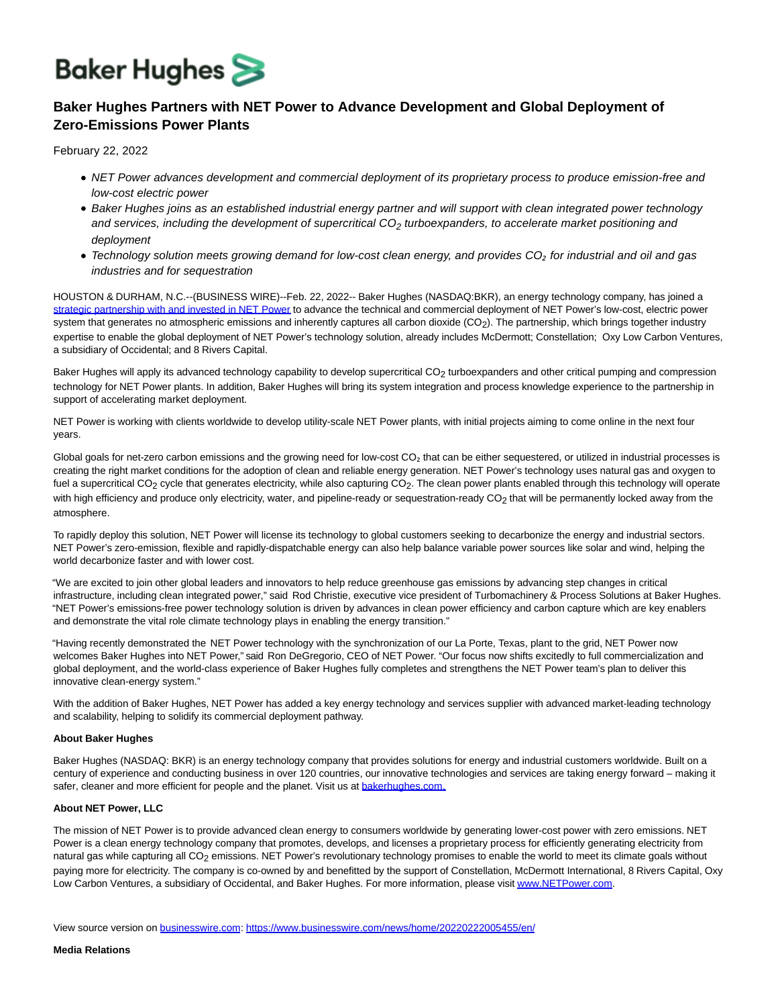# **Baker Hughes**

## **Baker Hughes Partners with NET Power to Advance Development and Global Deployment of Zero-Emissions Power Plants**

February 22, 2022

- NET Power advances development and commercial deployment of its proprietary process to produce emission-free and low-cost electric power
- Baker Hughes joins as an established industrial energy partner and will support with clean integrated power technology and services, including the development of supercritical  $CO<sub>2</sub>$  turboexpanders, to accelerate market positioning and deployment
- Technology solution meets growing demand for low-cost clean energy, and provides CO*₂* for industrial and oil and gas industries and for sequestration

HOUSTON & DURHAM, N.C.--(BUSINESS WIRE)--Feb. 22, 2022-- Baker Hughes (NASDAQ:BKR), an energy technology company, has joined a [strategic partnership with and invested in NET Power t](https://cts.businesswire.com/ct/CT?id=smartlink&url=https%3A%2F%2Fnetpower.com%2Fpress-release-feb-22-2022%2F&esheet=52582801&newsitemid=20220222005455&lan=en-US&anchor=strategic+partnership+with+and+invested+in+NET+Power&index=1&md5=c852092a2e00dcdf3e08ea497c8f4338)o advance the technical and commercial deployment of NET Power's low-cost, electric power system that generates no atmospheric emissions and inherently captures all carbon dioxide (CO<sub>2</sub>). The partnership, which brings together industry expertise to enable the global deployment of NET Power's technology solution, already includes McDermott; Constellation; Oxy Low Carbon Ventures, a subsidiary of Occidental; and 8 Rivers Capital.

Baker Hughes will apply its advanced technology capability to develop supercritical CO<sub>2</sub> turboexpanders and other critical pumping and compression technology for NET Power plants. In addition, Baker Hughes will bring its system integration and process knowledge experience to the partnership in support of accelerating market deployment.

NET Power is working with clients worldwide to develop utility-scale NET Power plants, with initial projects aiming to come online in the next four years.

Global goals for net-zero carbon emissions and the growing need for low-cost CO<sub>2</sub> that can be either sequestered, or utilized in industrial processes is creating the right market conditions for the adoption of clean and reliable energy generation. NET Power's technology uses natural gas and oxygen to fuel a supercritical CO<sub>2</sub> cycle that generates electricity, while also capturing CO<sub>2</sub>. The clean power plants enabled through this technology will operate with high efficiency and produce only electricity, water, and pipeline-ready or sequestration-ready CO<sub>2</sub> that will be permanently locked away from the atmosphere.

To rapidly deploy this solution, NET Power will license its technology to global customers seeking to decarbonize the energy and industrial sectors. NET Power's zero-emission, flexible and rapidly-dispatchable energy can also help balance variable power sources like solar and wind, helping the world decarbonize faster and with lower cost.

"We are excited to join other global leaders and innovators to help reduce greenhouse gas emissions by advancing step changes in critical infrastructure, including clean integrated power," said Rod Christie, executive vice president of Turbomachinery & Process Solutions at Baker Hughes. "NET Power's emissions-free power technology solution is driven by advances in clean power efficiency and carbon capture which are key enablers and demonstrate the vital role climate technology plays in enabling the energy transition."

"Having recently demonstrated the NET Power technology with the synchronization of our La Porte, Texas, plant to the grid, NET Power now welcomes Baker Hughes into NET Power," said Ron DeGregorio, CEO of NET Power. "Our focus now shifts excitedly to full commercialization and global deployment, and the world-class experience of Baker Hughes fully completes and strengthens the NET Power team's plan to deliver this innovative clean-energy system."

With the addition of Baker Hughes, NET Power has added a key energy technology and services supplier with advanced market-leading technology and scalability, helping to solidify its commercial deployment pathway.

#### **About Baker Hughes**

Baker Hughes (NASDAQ: BKR) is an energy technology company that provides solutions for energy and industrial customers worldwide. Built on a century of experience and conducting business in over 120 countries, our innovative technologies and services are taking energy forward – making it safer, cleaner and more efficient for people and the planet. Visit us at **bakerhughes.com.** 

#### **About NET Power, LLC**

The mission of NET Power is to provide advanced clean energy to consumers worldwide by generating lower-cost power with zero emissions. NET Power is a clean energy technology company that promotes, develops, and licenses a proprietary process for efficiently generating electricity from natural gas while capturing all CO<sub>2</sub> emissions. NET Power's revolutionary technology promises to enable the world to meet its climate goals without paying more for electricity. The company is co-owned by and benefitted by the support of Constellation, McDermott International, 8 Rivers Capital, Oxy Low Carbon Ventures, a subsidiary of Occidental, and Baker Hughes. For more information, please visi[t www.NETPower.com.](https://cts.businesswire.com/ct/CT?id=smartlink&url=https%3A%2F%2Fwww.netpower.com%2F&esheet=52582801&newsitemid=20220222005455&lan=en-US&anchor=www.NETPower.com&index=3&md5=6edc6424f9bfa91b9ac49f340baba859)